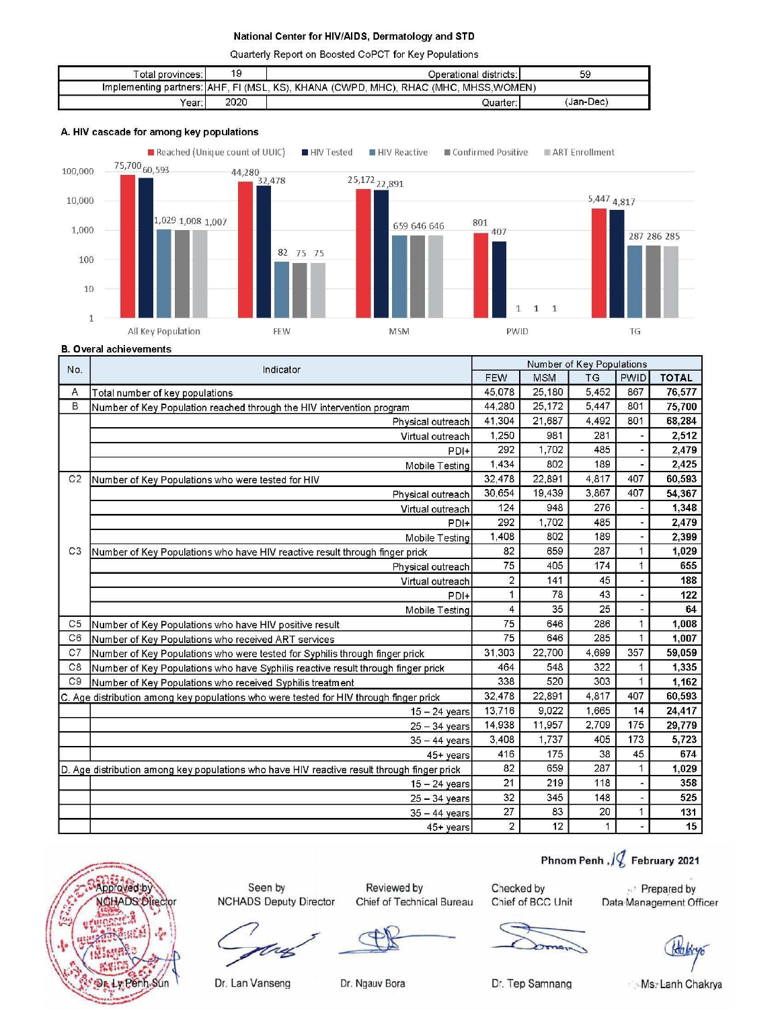Quarterly Report on Boosted CoPCT for Key Populations

| Total provinces: I | 19   | Operational districts:                                                                | 59        |
|--------------------|------|---------------------------------------------------------------------------------------|-----------|
|                    |      | Implementing partners: [AHF, FI (MSL, KS), KHANA (CWPD, MHC), RHAC (MHC, MHSS, WOMEN) |           |
| Year:              | 2020 | Quarter:                                                                              | (Jan-Dec) |

#### A. HIV cascade for among key populations



**B.** Overal achievements

| No.            | Indicator                                                                                   |                                                                                                                                                                                                                                                                                                                   |            | Number of Key Populations |              |              |
|----------------|---------------------------------------------------------------------------------------------|-------------------------------------------------------------------------------------------------------------------------------------------------------------------------------------------------------------------------------------------------------------------------------------------------------------------|------------|---------------------------|--------------|--------------|
|                |                                                                                             | <b>FEW</b><br>45,078<br>44.280<br>41.304<br>1,250<br>292<br>1.434<br>32 478<br>30,654<br>124<br>292<br>1.408<br>82<br>75<br>$\overline{c}$<br>$\mathbf{1}$<br>$\overline{\mathbf{4}}$<br>75<br>75<br>31,303<br>464<br>338<br>32,478<br>13.716<br>14.938<br>3,408<br>416<br>82<br>21<br>32<br>27<br>$\overline{2}$ | <b>MSM</b> | <b>TG</b>                 | <b>PWID</b>  | <b>TOTAL</b> |
| Α              | Total number of key populations                                                             |                                                                                                                                                                                                                                                                                                                   | 25,180     | 5,452                     | 867          | 76,577       |
| B              | Number of Key Population reached through the HIV intervention program                       |                                                                                                                                                                                                                                                                                                                   | 25,172     | 5,447                     | 801          | 75,700       |
|                | Physical outreach                                                                           |                                                                                                                                                                                                                                                                                                                   | 21.687     | 4,492                     | 801          | 68.284       |
|                | Virtual outreach                                                                            |                                                                                                                                                                                                                                                                                                                   | 981        | 281                       |              | 2,512        |
|                | PDI+                                                                                        |                                                                                                                                                                                                                                                                                                                   | 1,702      | 485                       |              | 2,479        |
|                | Mobile Testing                                                                              |                                                                                                                                                                                                                                                                                                                   | 802        | 189                       |              | 2,425        |
| C <sub>2</sub> | Number of Key Populations who were tested for HIV                                           |                                                                                                                                                                                                                                                                                                                   | 22,891     | 4,817                     | 407          | 60,593       |
|                | Physical outreach                                                                           |                                                                                                                                                                                                                                                                                                                   | 19,439     | 3.867                     | 407          | 54,367       |
|                | Virtual outreach                                                                            |                                                                                                                                                                                                                                                                                                                   | 948        | 276                       |              | 1,348        |
|                | PDI+                                                                                        |                                                                                                                                                                                                                                                                                                                   | 1,702      | 485                       |              | 2,479        |
|                | Mobile Testing                                                                              |                                                                                                                                                                                                                                                                                                                   | 802        | 189                       |              | 2,399        |
| C <sub>3</sub> | Number of Key Populations who have HIV reactive result through finger prick                 |                                                                                                                                                                                                                                                                                                                   | 659        | 287                       | 1            | 1,029        |
|                | Physical outreach                                                                           |                                                                                                                                                                                                                                                                                                                   | 405        | 174                       | $\mathbf{1}$ | 655          |
|                | Virtual outreach                                                                            |                                                                                                                                                                                                                                                                                                                   | 141        | 45                        |              | 188          |
|                | PDI+                                                                                        |                                                                                                                                                                                                                                                                                                                   | 78         | 43                        |              | 122          |
|                | Mobile Testing                                                                              |                                                                                                                                                                                                                                                                                                                   | 35         | 25                        |              | 64           |
| C <sub>5</sub> | Number of Key Populations who have HIV positive result                                      |                                                                                                                                                                                                                                                                                                                   | 646        | 286                       | $\mathbf{1}$ | 1.008        |
| C <sub>6</sub> | Number of Key Populations who received ART services                                         |                                                                                                                                                                                                                                                                                                                   | 646        | 285                       | 1            | 1.007        |
| C7             | Number of Key Populations who were tested for Syphilis through finger prick                 |                                                                                                                                                                                                                                                                                                                   | 22.700     | 4.699                     | 357          | 59,059       |
| C8             | Number of Key Populations who have Syphilis reactive result through finger prick            |                                                                                                                                                                                                                                                                                                                   | 548        | 322                       | $\mathbf{1}$ | 1,335        |
| C <sub>9</sub> | Number of Key Populations who received Syphilis treatment                                   |                                                                                                                                                                                                                                                                                                                   | 520        | 303                       | $\mathbf{1}$ | 1.162        |
|                | C. Age distribution among key populations who were tested for HIV through finger prick      |                                                                                                                                                                                                                                                                                                                   | 22,891     | 4,817                     | 407          | 60,593       |
|                | $15 - 24$ years                                                                             |                                                                                                                                                                                                                                                                                                                   | 9,022      | 1,665                     | 14           | 24,417       |
|                | $25 - 34$ years                                                                             |                                                                                                                                                                                                                                                                                                                   | 11,957     | 2,709                     | 175          | 29,779       |
|                | $35 - 44$ years                                                                             |                                                                                                                                                                                                                                                                                                                   | 1,737      | 405                       | 173          | 5,723        |
|                | 45+ years                                                                                   |                                                                                                                                                                                                                                                                                                                   | 175        | 38                        | 45           | 674          |
|                | D. Age distribution among key populations who have HIV reactive result through finger prick |                                                                                                                                                                                                                                                                                                                   | 659        | 287                       | 1            | 1.029        |
|                | $15 - 24$ years                                                                             |                                                                                                                                                                                                                                                                                                                   | 219        | 118                       |              | 358          |
|                | $25 - 34$ years                                                                             |                                                                                                                                                                                                                                                                                                                   | 345        | 148                       |              | 525          |
|                | $35 - 44$ years                                                                             |                                                                                                                                                                                                                                                                                                                   | 83         | 20                        | $\mathbf{1}$ | 131          |
|                | 45+ years                                                                                   |                                                                                                                                                                                                                                                                                                                   | 12         | $\mathbf{1}$              |              | 15           |



Seen by **NCHADS Deputy Director** 

Reviewed by Chief of Technical Bureau

Checked by Chief of BCC Unit

Prepared by Data Management Officer

Phnom Penh  $\sqrt{2}$  February 2021

Dr. Tep Samnang

Ms. Lanh Chakrya

Dr. Lan Vanseng

Dr. Ngauv Bora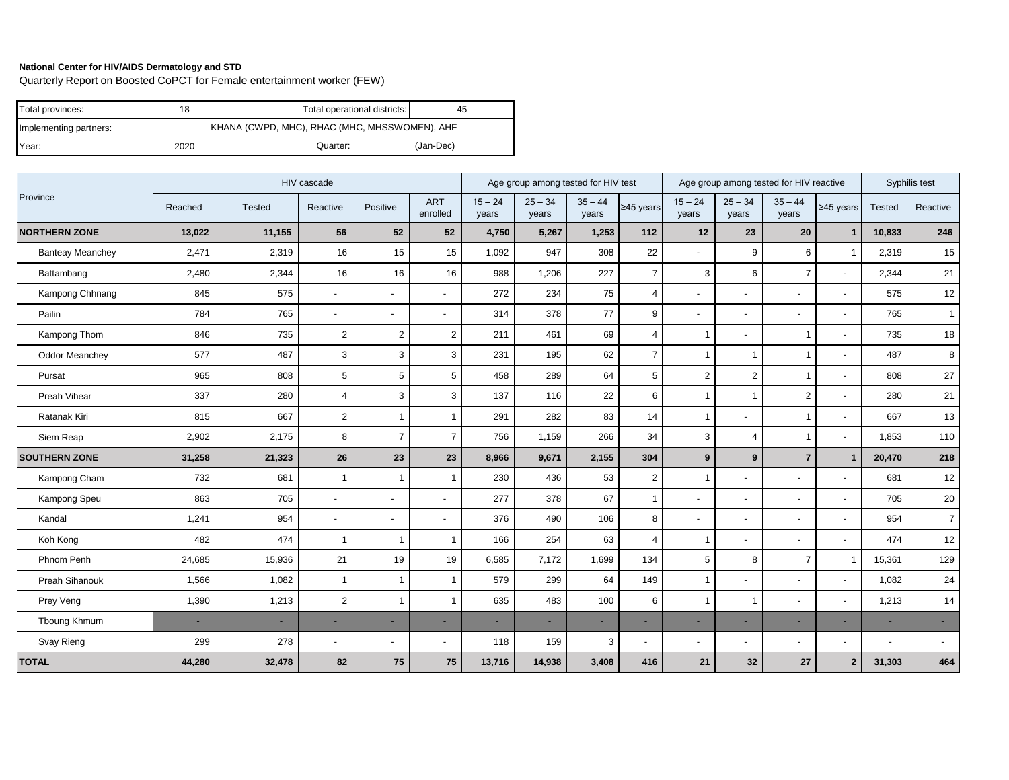Quarterly Report on Boosted CoPCT for Female entertainment worker (FEW)

| Total provinces:       | 18   | Total operational districts:<br>45 |                                               |           |  |  |  |  |
|------------------------|------|------------------------------------|-----------------------------------------------|-----------|--|--|--|--|
| Implementing partners: |      |                                    | KHANA (CWPD, MHC), RHAC (MHC, MHSSWOMEN), AHF |           |  |  |  |  |
| Year:                  | 2020 | Quarter:                           |                                               | (Jan-Dec) |  |  |  |  |

|                         |         | HIV cascade | Age group among tested for HIV test |                          |                          |                          | Age group among tested for HIV reactive |                          |                |                          | Syphilis test            |                          |                          |                |                          |
|-------------------------|---------|-------------|-------------------------------------|--------------------------|--------------------------|--------------------------|-----------------------------------------|--------------------------|----------------|--------------------------|--------------------------|--------------------------|--------------------------|----------------|--------------------------|
| Province                | Reached | Tested      | Reactive                            | Positive                 | <b>ART</b><br>enrolled   | $15 - 24$<br>years       | $25 - 34$<br>years                      | $35 - 44$<br>years       | $≥45$ years    | $15 - 24$<br>years       | $25 - 34$<br>years       | $35 - 44$<br>years       | $≥45$ years              | Tested         | Reactive                 |
| <b>NORTHERN ZONE</b>    | 13,022  | 11,155      | 56                                  | 52                       | 52                       | 4,750                    | 5,267                                   | 1,253                    | $112$          | 12                       | 23                       | 20                       | $\mathbf{1}$             | 10,833         | 246                      |
| <b>Banteay Meanchey</b> | 2,471   | 2,319       | 16                                  | 15                       | 15                       | 1,092                    | 947                                     | 308                      | 22             | $\overline{\phantom{a}}$ | 9                        | 6                        | $\overline{1}$           | 2,319          | 15                       |
| Battambang              | 2,480   | 2,344       | 16                                  | 16                       | 16                       | 988                      | 1,206                                   | 227                      | $\overline{7}$ | 3                        | 6                        | $\overline{7}$           | $\blacksquare$           | 2,344          | 21                       |
| Kampong Chhnang         | 845     | 575         | $\overline{a}$                      |                          |                          | 272                      | 234                                     | 75                       | $\overline{4}$ |                          |                          | $\overline{\phantom{a}}$ | $\overline{a}$           | 575            | 12                       |
| Pailin                  | 784     | 765         | $\blacksquare$                      | $\blacksquare$           |                          | 314                      | 378                                     | 77                       | 9              | $\blacksquare$           | $\blacksquare$           | $\blacksquare$           | ÷,                       | 765            | $\mathbf{1}$             |
| Kampong Thom            | 846     | 735         | $\overline{2}$                      | $\overline{2}$           | $\overline{2}$           | 211                      | 461                                     | 69                       | $\overline{4}$ | $\overline{1}$           |                          | $\mathbf{1}$             | $\overline{a}$           | 735            | 18                       |
| <b>Oddor Meanchey</b>   | 577     | 487         | 3                                   | 3                        | 3                        | 231                      | 195                                     | 62                       | $\overline{7}$ | $\mathbf 1$              | $\overline{1}$           | $\overline{1}$           | $\overline{a}$           | 487            | 8                        |
| Pursat                  | 965     | 808         | 5                                   | 5                        | $\,$ 5 $\,$              | 458                      | 289                                     | 64                       | 5              | $\overline{2}$           | 2                        | $\mathbf{1}$             | $\blacksquare$           | 808            | 27                       |
| Preah Vihear            | 337     | 280         | $\overline{4}$                      | 3                        | $\mathsf 3$              | 137                      | 116                                     | 22                       | 6              | $\overline{1}$           | $\overline{1}$           | $\sqrt{2}$               | $\blacksquare$           | 280            | 21                       |
| Ratanak Kiri            | 815     | 667         | $\overline{2}$                      | $\mathbf{1}$             | $\mathbf{1}$             | 291                      | 282                                     | 83                       | 14             | $\mathbf{1}$             | $\overline{a}$           | $\mathbf{1}$             | $\blacksquare$           | 667            | 13                       |
| Siem Reap               | 2,902   | 2,175       | 8                                   | $\overline{7}$           | $\overline{7}$           | 756                      | 1,159                                   | 266                      | 34             | $\mathsf 3$              | $\overline{4}$           | $\mathbf{1}$             | $\blacksquare$           | 1,853          | 110                      |
| <b>SOUTHERN ZONE</b>    | 31,258  | 21,323      | 26                                  | 23                       | 23                       | 8,966                    | 9,671                                   | 2,155                    | 304            | $9$                      | 9                        | $\overline{7}$           | $\mathbf{1}$             | 20,470         | 218                      |
| Kampong Cham            | 732     | 681         | $\mathbf{1}$                        | $\mathbf 1$              | $\mathbf{1}$             | 230                      | 436                                     | 53                       | 2              | $\overline{1}$           | $\blacksquare$           | $\blacksquare$           | $\blacksquare$           | 681            | 12                       |
| Kampong Speu            | 863     | 705         | $\blacksquare$                      | $\overline{\phantom{a}}$ | $\overline{\phantom{a}}$ | 277                      | 378                                     | 67                       | $\mathbf{1}$   | $\blacksquare$           | $\blacksquare$           | $\overline{\phantom{a}}$ | $\blacksquare$           | 705            | 20                       |
| Kandal                  | 1,241   | 954         | $\overline{a}$                      | $\overline{a}$           |                          | 376                      | 490                                     | 106                      | 8              | $\blacksquare$           | $\overline{\phantom{a}}$ | $\overline{\phantom{0}}$ | $\overline{a}$           | 954            | $\overline{7}$           |
| Koh Kong                | 482     | 474         | $\mathbf{1}$                        | $\overline{1}$           | $\mathbf{1}$             | 166                      | 254                                     | 63                       | $\overline{4}$ | $\overline{1}$           | $\overline{a}$           | $\blacksquare$           | $\blacksquare$           | 474            | 12                       |
| Phnom Penh              | 24,685  | 15,936      | 21                                  | 19                       | 19                       | 6,585                    | 7,172                                   | 1,699                    | 134            | $\overline{5}$           | 8                        | $\overline{7}$           | $\overline{1}$           | 15,361         | 129                      |
| <b>Preah Sihanouk</b>   | 1,566   | 1,082       | $\mathbf{1}$                        | $\overline{1}$           | $\mathbf{1}$             | 579                      | 299                                     | 64                       | 149            | $\mathbf{1}$             | $\overline{\phantom{a}}$ | $\overline{\phantom{0}}$ | $\overline{a}$           | 1,082          | 24                       |
| Prey Veng               | 1,390   | 1,213       | $\overline{2}$                      | $\mathbf{1}$             | $\mathbf{1}$             | 635                      | 483                                     | 100                      | 6              | $\overline{1}$           | $\mathbf 1$              |                          | ÷,                       | 1,213          | 14                       |
| Tboung Khmum            | $\sim$  | ٠           | ÷,                                  | ٠                        |                          | $\overline{\phantom{a}}$ | ٠                                       | $\overline{\phantom{a}}$ |                | $\overline{\phantom{0}}$ | ٠                        | ٠                        | ٠                        |                | $\overline{\phantom{a}}$ |
| Svay Rieng              | 299     | 278         | $\blacksquare$                      | $\overline{\phantom{a}}$ |                          | 118                      | 159                                     | 3                        |                | $\overline{\phantom{a}}$ | -                        | $\overline{\phantom{a}}$ | $\overline{\phantom{a}}$ | $\overline{a}$ | $\sim$                   |
| <b>TOTAL</b>            | 44,280  | 32,478      | 82                                  | 75                       | 75                       | 13,716                   | 14,938                                  | 3,408                    | 416            | 21                       | 32                       | 27                       | $\overline{2}$           | 31,303         | 464                      |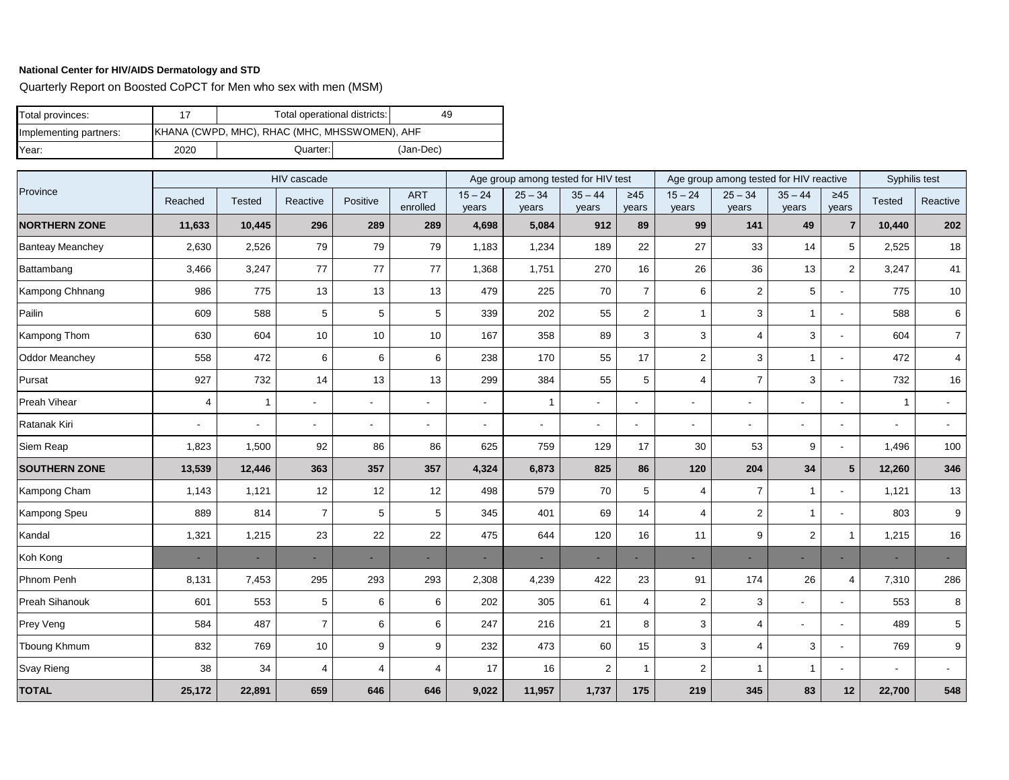Quarterly Report on Boosted CoPCT for Men who sex with men (MSM)

| Total provinces:       |      | Total operational districts:<br>49            |  |           |
|------------------------|------|-----------------------------------------------|--|-----------|
| Implementing partners: |      | KHANA (CWPD, MHC), RHAC (MHC, MHSSWOMEN), AHF |  |           |
| Year:                  | 2020 | Quarter: I                                    |  | (Jan-Dec) |

|                         |                |                          | HIV cascade    |                |                          |                          | Age group among tested for HIV test |                          |                    |                    | Age group among tested for HIV reactive |                           |                          |                          | Syphilis test   |  |
|-------------------------|----------------|--------------------------|----------------|----------------|--------------------------|--------------------------|-------------------------------------|--------------------------|--------------------|--------------------|-----------------------------------------|---------------------------|--------------------------|--------------------------|-----------------|--|
| Province                | Reached        | <b>Tested</b>            | Reactive       | Positive       | <b>ART</b><br>enrolled   | $15 - 24$<br>years       | $25 - 34$<br>years                  | $35 - 44$<br>years       | $\geq 45$<br>years | $15 - 24$<br>years | $25 - 34$<br>years                      | $35 - 44$<br>years        | $\geq 45$<br>years       | <b>Tested</b>            | Reactive        |  |
| <b>NORTHERN ZONE</b>    | 11,633         | 10,445                   | 296            | 289            | 289                      | 4,698                    | 5,084                               | 912                      | 89                 | 99                 | 141                                     | 49                        | $\overline{7}$           | 10,440                   | 202             |  |
| <b>Banteay Meanchey</b> | 2,630          | 2,526                    | 79             | 79             | 79                       | 1,183                    | 1,234                               | 189                      | 22                 | 27                 | 33                                      | 14                        | 5                        | 2,525                    | 18              |  |
| Battambang              | 3,466          | 3,247                    | 77             | 77             | 77                       | 1,368                    | 1,751                               | 270                      | 16                 | 26                 | 36                                      | 13                        | $\overline{2}$           | 3,247                    | 41              |  |
| Kampong Chhnang         | 986            | 775                      | 13             | 13             | 13                       | 479                      | 225                                 | 70                       | $\overline{7}$     | 6                  | 2                                       | 5                         | $\overline{\phantom{a}}$ | 775                      | 10              |  |
| Pailin                  | 609            | 588                      | 5              | 5              | 5                        | 339                      | 202                                 | 55                       | $\overline{2}$     | 1                  | 3                                       | $\mathbf{1}$              | ÷                        | 588                      | 6               |  |
| Kampong Thom            | 630            | 604                      | 10             | 10             | 10                       | 167                      | 358                                 | 89                       | 3                  | 3                  | 4                                       | 3                         | $\overline{\phantom{a}}$ | 604                      | 7 <sup>1</sup>  |  |
| <b>Oddor Meanchey</b>   | 558            | 472                      | 6              | 6              | 6                        | 238                      | 170                                 | 55                       | 17                 | 2                  | 3                                       | $\mathbf{1}$              | $\blacksquare$           | 472                      | $\overline{4}$  |  |
| Pursat                  | 927            | 732                      | 14             | 13             | 13                       | 299                      | 384                                 | 55                       | 5                  | 4                  | $\overline{7}$                          | $\ensuremath{\mathsf{3}}$ | $\overline{\phantom{a}}$ | 732                      | 16              |  |
| Preah Vihear            | $\overline{4}$ | $\mathbf{1}$             | $\sim$         | $\blacksquare$ | $\overline{\phantom{a}}$ | $\overline{\phantom{a}}$ | $\mathbf 1$                         | $\overline{\phantom{a}}$ |                    | $\blacksquare$     | $\blacksquare$                          |                           | $\overline{\phantom{a}}$ | $\mathbf{1}$             | $\sim$          |  |
| Ratanak Kiri            | $\sim$         | $\overline{\phantom{a}}$ | $\blacksquare$ | $\sim$         | $\overline{\phantom{a}}$ | $\overline{\phantom{a}}$ | $\sim$                              | $\blacksquare$           | $\overline{a}$     | $\overline{a}$     | $\blacksquare$                          |                           | $\overline{\phantom{a}}$ | $\blacksquare$           | $\sim$          |  |
| Siem Reap               | 1,823          | 1,500                    | 92             | 86             | 86                       | 625                      | 759                                 | 129                      | 17                 | 30                 | 53                                      | 9                         | $\overline{\phantom{a}}$ | 1,496                    | 100             |  |
| <b>SOUTHERN ZONE</b>    | 13,539         | 12,446                   | 363            | 357            | 357                      | 4,324                    | 6,873                               | 825                      | 86                 | 120                | 204                                     | 34                        | $5\overline{5}$          | 12,260                   | 346             |  |
| Kampong Cham            | 1,143          | 1,121                    | 12             | 12             | 12                       | 498                      | 579                                 | 70                       | 5                  | 4                  | $\overline{7}$                          | $\mathbf{1}$              |                          | 1,121                    | 13              |  |
| Kampong Speu            | 889            | 814                      | $\overline{7}$ | 5              | 5                        | 345                      | 401                                 | 69                       | 14                 | 4                  | $\sqrt{2}$                              | $\mathbf 1$               | $\overline{\phantom{a}}$ | 803                      | 9               |  |
| Kandal                  | 1,321          | 1,215                    | 23             | 22             | 22                       | 475                      | 644                                 | 120                      | 16                 | 11                 | 9                                       | $\overline{2}$            | $\overline{1}$           | 1,215                    | 16              |  |
| Koh Kong                | $\blacksquare$ | ÷.                       | ٠              | $\sim$         | $\overline{\phantom{a}}$ | $\sim$                   | $\sim$                              | $\overline{\phantom{a}}$ | ٠                  | $\blacksquare$     | ۰                                       | $\overline{\phantom{a}}$  | ٠                        | $\sim$                   |                 |  |
| Phnom Penh              | 8,131          | 7,453                    | 295            | 293            | 293                      | 2,308                    | 4,239                               | 422                      | 23                 | 91                 | 174                                     | 26                        | $\overline{4}$           | 7,310                    | 286             |  |
| Preah Sihanouk          | 601            | 553                      | 5              | 6              | 6                        | 202                      | 305                                 | 61                       | $\overline{4}$     | 2                  | 3                                       | $\blacksquare$            | $\overline{\phantom{a}}$ | 553                      | 8               |  |
| Prey Veng               | 584            | 487                      | $\overline{7}$ | 6              | 6                        | 247                      | 216                                 | 21                       | 8                  | 3                  | $\overline{4}$                          |                           |                          | 489                      | $5\overline{)}$ |  |
| <b>Tboung Khmum</b>     | 832            | 769                      | 10             | 9              | 9                        | 232                      | 473                                 | 60                       | 15                 | 3                  | $\overline{4}$                          | 3                         |                          | 769                      | 9               |  |
| Svay Rieng              | 38             | 34                       | $\overline{4}$ | $\overline{4}$ | $\overline{4}$           | 17                       | 16                                  | $\overline{2}$           | $\overline{1}$     | 2                  | $\overline{1}$                          | $\mathbf{1}$              |                          | $\overline{\phantom{a}}$ |                 |  |
| <b>TOTAL</b>            | 25,172         | 22,891                   | 659            | 646            | 646                      | 9,022                    | 11,957                              | 1,737                    | 175                | 219                | 345                                     | 83                        | 12                       | 22,700                   | 548             |  |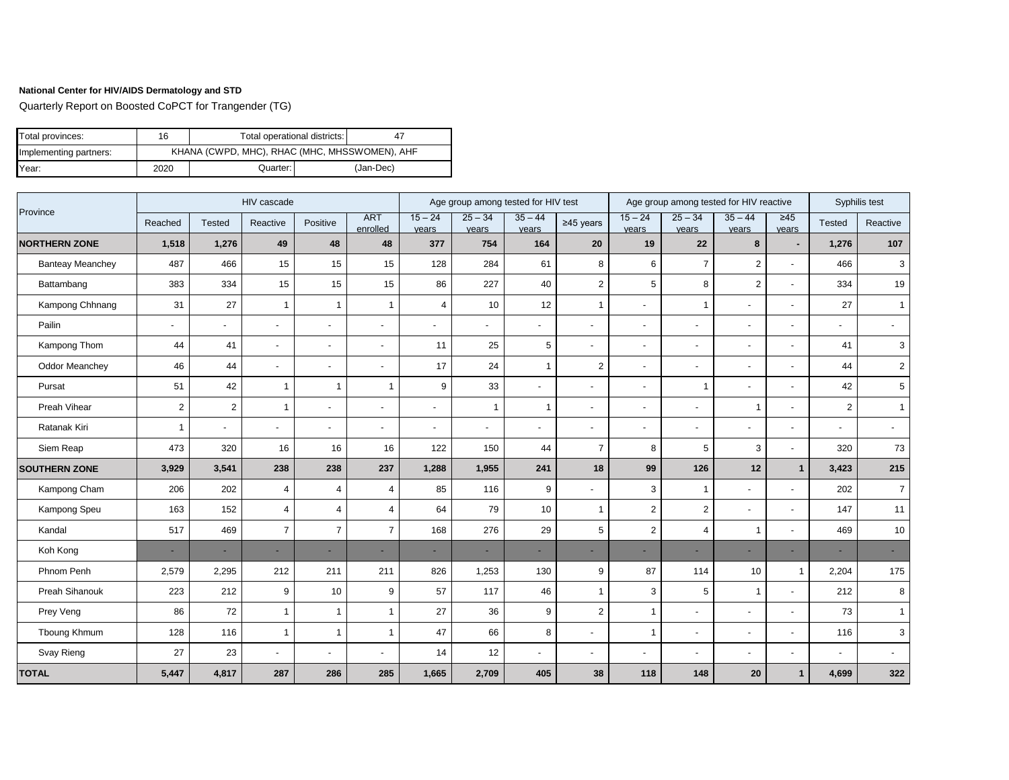Quarterly Report on Boosted CoPCT for Trangender (TG)

| Total provinces:       | 16   | Total operational districts: | -47                                           |           |  |  |  |  |
|------------------------|------|------------------------------|-----------------------------------------------|-----------|--|--|--|--|
| Implementing partners: |      |                              | KHANA (CWPD, MHC), RHAC (MHC, MHSSWOMEN), AHF |           |  |  |  |  |
| Year:                  | 2020 | Quarter:                     |                                               | (Jan-Dec) |  |  |  |  |

|                         |                          |                | HIV cascade    |                          |                          |                    | Age group among tested for HIV test |                    |                          |                          |                          | Age group among tested for HIV reactive |                          |                | Syphilis test  |
|-------------------------|--------------------------|----------------|----------------|--------------------------|--------------------------|--------------------|-------------------------------------|--------------------|--------------------------|--------------------------|--------------------------|-----------------------------------------|--------------------------|----------------|----------------|
| Province                | Reached                  | <b>Tested</b>  | Reactive       | Positive                 | <b>ART</b><br>enrolled   | $15 - 24$<br>years | $25 - 34$<br>years                  | $35 - 44$<br>years | $≥45$ years              | $15 - 24$<br>years       | $25 - 34$<br>years       | $35 - 44$<br>years                      | $\geq 45$<br>vears       | <b>Tested</b>  | Reactive       |
| <b>NORTHERN ZONE</b>    | 1,518                    | 1,276          | 49             | 48                       | 48                       | 377                | 754                                 | 164                | 20                       | 19                       | 22                       | 8                                       |                          | 1,276          | 107            |
| <b>Banteay Meanchey</b> | 487                      | 466            | 15             | 15                       | 15                       | 128                | 284                                 | 61                 | 8                        | 6                        | $\overline{7}$           | 2                                       | $\blacksquare$           | 466            | 3              |
| Battambang              | 383                      | 334            | 15             | 15                       | 15                       | 86                 | 227                                 | 40                 | $\overline{2}$           | 5                        | 8                        | 2                                       | $\blacksquare$           | 334            | 19             |
| Kampong Chhnang         | 31                       | 27             | $\overline{1}$ | $\mathbf 1$              | $\overline{1}$           | $\overline{4}$     | 10                                  | 12                 | $\overline{1}$           | $\overline{a}$           | $\mathbf 1$              | $\mathbf{r}$                            | $\sim$                   | 27             | $\overline{1}$ |
| Pailin                  | $\overline{\phantom{a}}$ | $\blacksquare$ | ÷,             | $\blacksquare$           | ÷,                       |                    | $\blacksquare$                      | $\blacksquare$     | $\overline{\phantom{a}}$ | ٠                        |                          | $\sim$                                  | $\blacksquare$           | $\blacksquare$ | $\overline{a}$ |
| Kampong Thom            | 44                       | 41             | ÷,             | $\overline{\phantom{a}}$ | $\overline{\phantom{a}}$ | 11                 | 25                                  | 5                  | $\blacksquare$           | $\overline{\phantom{a}}$ |                          | $\overline{\phantom{a}}$                | $\overline{\phantom{a}}$ | 41             | 3              |
| <b>Oddor Meanchev</b>   | 46                       | 44             | $\overline{a}$ | $\overline{\phantom{a}}$ | $\overline{\phantom{a}}$ | 17                 | 24                                  | $\overline{1}$     | $\overline{2}$           | $\blacksquare$           |                          | $\overline{\phantom{a}}$                | $\blacksquare$           | 44             | $\overline{2}$ |
| Pursat                  | 51                       | 42             | $\mathbf{1}$   | 1                        | $\overline{\mathbf{1}}$  | 9                  | 33                                  | $\blacksquare$     |                          | $\overline{\phantom{a}}$ | $\mathbf 1$              | $\blacksquare$                          | $\blacksquare$           | 42             | 5              |
| Preah Vihear            | $\overline{2}$           | $\overline{c}$ | $\overline{1}$ | $\overline{\phantom{a}}$ | $\overline{\phantom{a}}$ |                    | $\mathbf{1}$                        | $\overline{1}$     | $\overline{\phantom{a}}$ | $\overline{\phantom{a}}$ | $\overline{a}$           | $\overline{1}$                          | $\blacksquare$           | $\overline{2}$ | $\overline{1}$ |
| Ratanak Kiri            | $\overline{1}$           | $\sim$         | $\overline{a}$ | $\overline{\phantom{a}}$ | $\overline{\phantom{a}}$ |                    | $\sim$                              | $\blacksquare$     | $\overline{a}$           | $\blacksquare$           |                          | $\blacksquare$                          | $\blacksquare$           | $\blacksquare$ |                |
| Siem Reap               | 473                      | 320            | 16             | 16                       | 16                       | 122                | 150                                 | 44                 | $\overline{7}$           | 8                        | 5                        | 3                                       | $\overline{\phantom{a}}$ | 320            | 73             |
| <b>SOUTHERN ZONE</b>    | 3,929                    | 3,541          | 238            | 238                      | 237                      | 1,288              | 1,955                               | 241                | 18                       | 99                       | 126                      | 12                                      | $\mathbf{1}$             | 3,423          | 215            |
| Kampong Cham            | 206                      | 202            | $\overline{4}$ | $\overline{4}$           | $\overline{4}$           | 85                 | 116                                 | 9                  | $\overline{\phantom{0}}$ | 3                        | $\mathbf{1}$             | $\overline{a}$                          | $\overline{\phantom{a}}$ | 202            | $\overline{7}$ |
| Kampong Speu            | 163                      | 152            | $\overline{4}$ | $\overline{4}$           | $\overline{4}$           | 64                 | 79                                  | 10                 | $\overline{1}$           | $\overline{2}$           | 2                        | $\overline{\phantom{a}}$                | $\overline{\phantom{a}}$ | 147            | 11             |
| Kandal                  | 517                      | 469            | $\overline{7}$ | $\overline{7}$           | $\overline{7}$           | 168                | 276                                 | 29                 | 5                        | $\overline{2}$           | $\overline{4}$           | $\overline{1}$                          | $\overline{\phantom{a}}$ | 469            | 10             |
| Koh Kong                | $\sim$                   | ٠              | ٠              | $\overline{\phantom{a}}$ | ٠                        |                    | ٠                                   |                    | ٠                        | ٠                        |                          | ٠                                       | $\overline{\phantom{a}}$ |                |                |
| Phnom Penh              | 2,579                    | 2,295          | 212            | 211                      | 211                      | 826                | 1,253                               | 130                | 9                        | 87                       | 114                      | 10                                      | $\mathbf{1}$             | 2,204          | 175            |
| Preah Sihanouk          | 223                      | 212            | 9              | 10                       | 9                        | 57                 | 117                                 | 46                 | $\mathbf{1}$             | 3                        | 5                        | $\overline{1}$                          | $\overline{\phantom{a}}$ | 212            | 8              |
| Prey Veng               | 86                       | 72             | $\overline{1}$ |                          |                          | 27                 | 36                                  | 9                  | $\overline{2}$           | 1                        |                          | $\sim$                                  | $\blacksquare$           | 73             |                |
| Tboung Khmum            | 128                      | 116            | $\overline{1}$ | -1                       | $\overline{1}$           | 47                 | 66                                  | 8                  |                          | $\overline{1}$           |                          | $\blacksquare$                          | $\sim$                   | 116            | 3              |
| Svay Rieng              | 27                       | 23             | $\overline{a}$ | $\overline{\phantom{a}}$ | $\overline{\phantom{a}}$ | 14                 | 12                                  | $\blacksquare$     | $\blacksquare$           | $\sim$                   | $\overline{\phantom{a}}$ | $\blacksquare$                          | $\overline{\phantom{a}}$ | $\blacksquare$ |                |
| <b>TOTAL</b>            | 5,447                    | 4,817          | 287            | 286                      | 285                      | 1,665              | 2,709                               | 405                | 38                       | 118                      | 148                      | 20                                      | $\mathbf{1}$             | 4,699          | 322            |